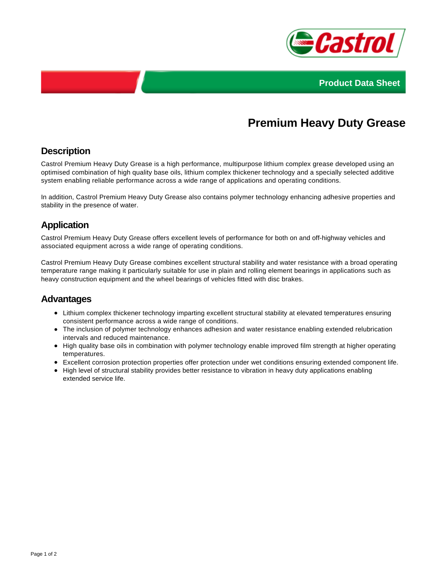



# **Premium Heavy Duty Grease**

# **Description**

Castrol Premium Heavy Duty Grease is a high performance, multipurpose lithium complex grease developed using an optimised combination of high quality base oils, lithium complex thickener technology and a specially selected additive system enabling reliable performance across a wide range of applications and operating conditions.

In addition, Castrol Premium Heavy Duty Grease also contains polymer technology enhancing adhesive properties and stability in the presence of water.

# **Application**

Castrol Premium Heavy Duty Grease offers excellent levels of performance for both on and off-highway vehicles and associated equipment across a wide range of operating conditions.

Castrol Premium Heavy Duty Grease combines excellent structural stability and water resistance with a broad operating temperature range making it particularly suitable for use in plain and rolling element bearings in applications such as heavy construction equipment and the wheel bearings of vehicles fitted with disc brakes.

#### **Advantages**

- Lithium complex thickener technology imparting excellent structural stability at elevated temperatures ensuring consistent performance across a wide range of conditions.
- The inclusion of polymer technology enhances adhesion and water resistance enabling extended relubrication intervals and reduced maintenance.
- High quality base oils in combination with polymer technology enable improved film strength at higher operating temperatures.
- Excellent corrosion protection properties offer protection under wet conditions ensuring extended component life.
- High level of structural stability provides better resistance to vibration in heavy duty applications enabling extended service life.